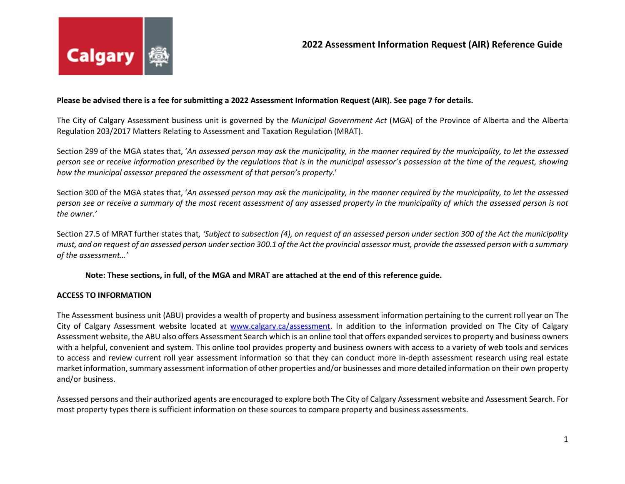# **Please be advised there is a fee for submitting a 2022 Assessment Information Request (AIR). See page 7 for details.**

The City of Calgary Assessment business unit is governed by the *Municipal Government Act* (MGA) of the Province of Alberta and the Alberta Regulation 203/2017 Matters Relating to Assessment and Taxation Regulation (MRAT).

Section 299 of the MGA states that, '*An assessed person may ask the municipality, in the manner required by the municipality, to let the assessed person see or receive information prescribed by the regulations that is in the municipal assessor's possession at the time of the request, showing how the municipal assessor prepared the assessment of that person's property.*'

Section 300 of the MGA states that, '*An assessed person may ask the municipality, in the manner required by the municipality, to let the assessed person see or receive a summary of the most recent assessment of any assessed property in the municipality of which the assessed person is not the owner.'*

Section 27.5 of MRAT further states that*, 'Subject to subsection (4), on request of an assessed person under section 300 of the Act the municipality must, and on request of an assessed person under section 300.1 of the Act the provincial assessor must, provide the assessed person with a summary of the assessment…'*

### **Note: These sections, in full, of the MGA and MRAT are attached at the end of this reference guide.**

### **ACCESS TO INFORMATION**

The Assessment business unit (ABU) provides a wealth of property and business assessment information pertaining to the current roll year on The City of Calgary Assessment website located at [www.calgary.ca/assessment.](http://www.calgary.ca/assessment) In addition to the information provided on The City of Calgary Assessment website, the ABU also offers Assessment Search which is an online tool that offers expanded services to property and business owners with a helpful, convenient and system. This online tool provides property and business owners with access to a variety of web tools and services to access and review current roll year assessment information so that they can conduct more in-depth assessment research using real estate market information, summary assessment information of other properties and/or businesses and more detailed information on their own property and/or business.

Assessed persons and their authorized agents are encouraged to explore both The City of Calgary Assessment website and Assessment Search. For most property types there is sufficient information on these sources to compare property and business assessments.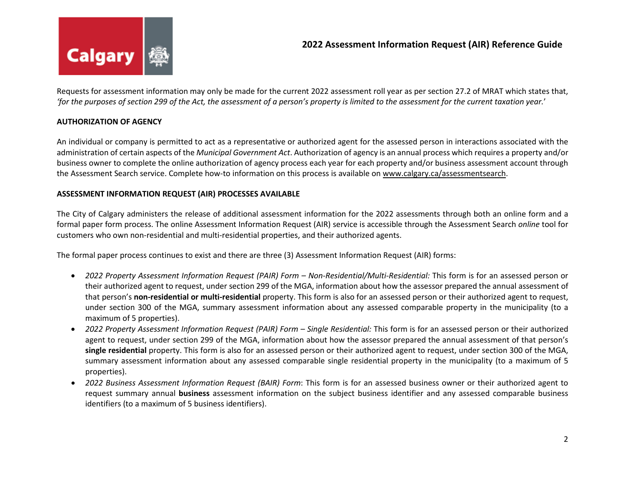

Requests for assessment information may only be made for the current 2022 assessment roll year as per section 27.2 of MRAT which states that, *'for the purposes of section 299 of the Act, the assessment of a person's property is limited to the assessment for the current taxation year.*'

# **AUTHORIZATION OF AGENCY**

An individual or company is permitted to act as a representative or authorized agent for the assessed person in interactions associated with the administration of certain aspects of the *Municipal Government Act*. Authorization of agency is an annual process which requires a property and/or business owner to complete the online authorization of agency process each year for each property and/or business assessment account through the Assessment Search service. Complete how-to information on this process is available on [www.calgary.ca/assessmentsearch.](https://spprd-authoring.calgary.ca:47443/assessmentsearch)

# **ASSESSMENT INFORMATION REQUEST (AIR) PROCESSES AVAILABLE**

The City of Calgary administers the release of additional assessment information for the 2022 assessments through both an online form and a formal paper form process. The online Assessment Information Request (AIR) service is accessible through the Assessment Search *online* tool for customers who own non-residential and multi-residential properties, and their authorized agents.

The formal paper process continues to exist and there are three (3) Assessment Information Request (AIR) forms:

- *2022 Property Assessment Information Request (PAIR) Form – Non-Residential/Multi-Residential:* This form is for an assessed person or their authorized agent to request, under section 299 of the MGA, information about how the assessor prepared the annual assessment of that person's **non-residential or multi-residential** property. This form is also for an assessed person or their authorized agent to request, under section 300 of the MGA, summary assessment information about any assessed comparable property in the municipality (to a maximum of 5 properties).
- *2022 Property Assessment Information Request (PAIR) Form – Single Residential:* This form is for an assessed person or their authorized agent to request, under section 299 of the MGA, information about how the assessor prepared the annual assessment of that person's **single residential** property. This form is also for an assessed person or their authorized agent to request, under section 300 of the MGA, summary assessment information about any assessed comparable single residential property in the municipality (to a maximum of 5 properties).
- *2022 Business Assessment Information Request (BAIR) Form*: This form is for an assessed business owner or their authorized agent to request summary annual **business** assessment information on the subject business identifier and any assessed comparable business identifiers (to a maximum of 5 business identifiers).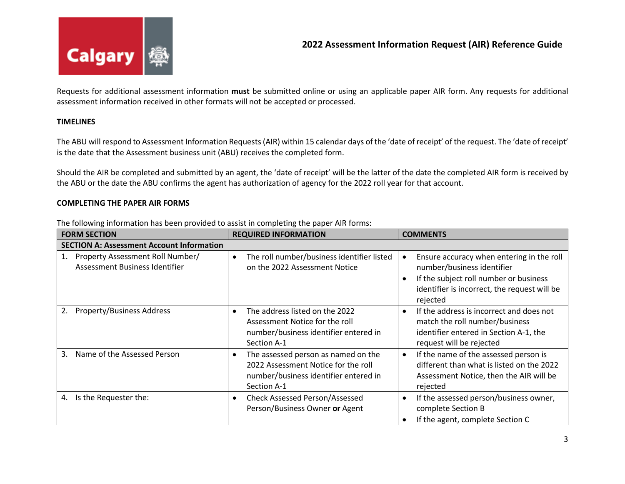

Requests for additional assessment information **must** be submitted online or using an applicable paper AIR form. Any requests for additional assessment information received in other formats will not be accepted or processed.

# **TIMELINES**

The ABU will respond to Assessment Information Requests (AIR) within 15 calendar days of the 'date of receipt' of the request. The 'date of receipt' is the date that the Assessment business unit (ABU) receives the completed form.

Should the AIR be completed and submitted by an agent, the 'date of receipt' will be the latter of the date the completed AIR form is received by the ABU or the date the ABU confirms the agent has authorization of agency for the 2022 roll year for that account.

### **COMPLETING THE PAPER AIR FORMS**

| <b>FORM SECTION</b>                                                      | <b>REQUIRED INFORMATION</b>                                                                                                             | <b>COMMENTS</b>                                                                                                                                                               |  |  |
|--------------------------------------------------------------------------|-----------------------------------------------------------------------------------------------------------------------------------------|-------------------------------------------------------------------------------------------------------------------------------------------------------------------------------|--|--|
| <b>SECTION A: Assessment Account Information</b>                         |                                                                                                                                         |                                                                                                                                                                               |  |  |
| Property Assessment Roll Number/<br>1.<br>Assessment Business Identifier | The roll number/business identifier listed<br>$\bullet$<br>on the 2022 Assessment Notice                                                | Ensure accuracy when entering in the roll<br>number/business identifier<br>If the subject roll number or business<br>identifier is incorrect, the request will be<br>rejected |  |  |
| <b>Property/Business Address</b><br>2.                                   | The address listed on the 2022<br>Assessment Notice for the roll<br>number/business identifier entered in<br>Section A-1                | If the address is incorrect and does not<br>match the roll number/business<br>identifier entered in Section A-1, the<br>request will be rejected                              |  |  |
| Name of the Assessed Person<br>3.                                        | The assessed person as named on the<br>٠<br>2022 Assessment Notice for the roll<br>number/business identifier entered in<br>Section A-1 | If the name of the assessed person is<br>different than what is listed on the 2022<br>Assessment Notice, then the AIR will be<br>rejected                                     |  |  |
| Is the Requester the:<br>4.                                              | <b>Check Assessed Person/Assessed</b><br>$\bullet$<br>Person/Business Owner or Agent                                                    | If the assessed person/business owner,<br>complete Section B<br>If the agent, complete Section C                                                                              |  |  |

The following information has been provided to assist in completing the paper AIR forms: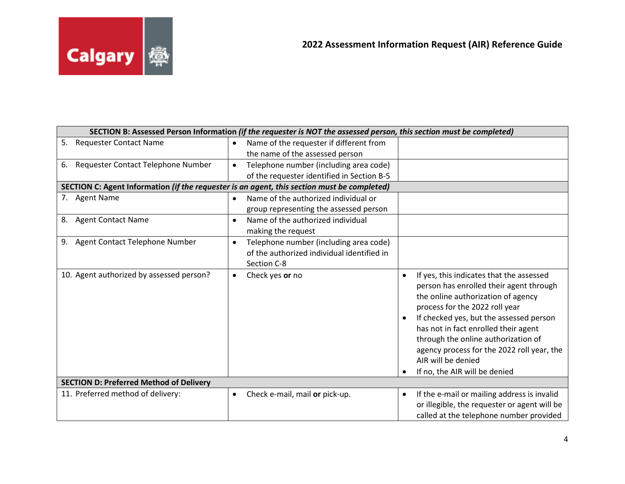

| SECTION B: Assessed Person Information (if the requester is NOT the assessed person, this section must be completed) |           |                                            |           |                                                                             |
|----------------------------------------------------------------------------------------------------------------------|-----------|--------------------------------------------|-----------|-----------------------------------------------------------------------------|
| 5. Requester Contact Name                                                                                            | $\bullet$ | Name of the requester if different from    |           |                                                                             |
|                                                                                                                      |           | the name of the assessed person            |           |                                                                             |
| Requester Contact Telephone Number<br>6.                                                                             | $\bullet$ | Telephone number (including area code)     |           |                                                                             |
|                                                                                                                      |           | of the requester identified in Section B-5 |           |                                                                             |
| SECTION C: Agent Information (if the requester is an agent, this section must be completed)                          |           |                                            |           |                                                                             |
| 7. Agent Name                                                                                                        | $\bullet$ | Name of the authorized individual or       |           |                                                                             |
|                                                                                                                      |           | group representing the assessed person     |           |                                                                             |
| 8. Agent Contact Name                                                                                                | $\bullet$ | Name of the authorized individual          |           |                                                                             |
|                                                                                                                      |           | making the request                         |           |                                                                             |
| Agent Contact Telephone Number<br>9.                                                                                 | $\bullet$ | Telephone number (including area code)     |           |                                                                             |
|                                                                                                                      |           | of the authorized individual identified in |           |                                                                             |
|                                                                                                                      |           | Section C-8                                |           |                                                                             |
| 10. Agent authorized by assessed person?                                                                             | $\bullet$ | Check yes or no                            |           | If yes, this indicates that the assessed                                    |
|                                                                                                                      |           |                                            |           | person has enrolled their agent through                                     |
|                                                                                                                      |           |                                            |           | the online authorization of agency                                          |
|                                                                                                                      |           |                                            |           | process for the 2022 roll year                                              |
|                                                                                                                      |           |                                            |           | If checked yes, but the assessed person                                     |
|                                                                                                                      |           |                                            |           | has not in fact enrolled their agent<br>through the online authorization of |
|                                                                                                                      |           |                                            |           | agency process for the 2022 roll year, the                                  |
|                                                                                                                      |           |                                            |           | AIR will be denied                                                          |
|                                                                                                                      |           |                                            |           | If no, the AIR will be denied                                               |
| <b>SECTION D: Preferred Method of Delivery</b>                                                                       |           |                                            |           |                                                                             |
| 11. Preferred method of delivery:                                                                                    | $\bullet$ | Check e-mail, mail or pick-up.             | $\bullet$ | If the e-mail or mailing address is invalid                                 |
|                                                                                                                      |           |                                            |           | or illegible, the requester or agent will be                                |
|                                                                                                                      |           |                                            |           | called at the telephone number provided                                     |
|                                                                                                                      |           |                                            |           |                                                                             |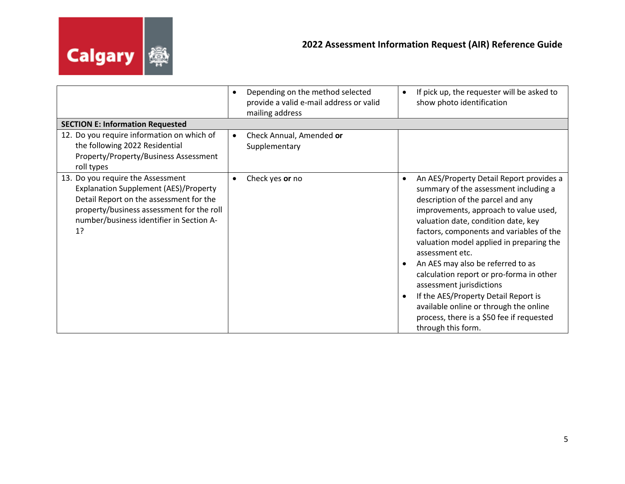

|                                                                                                                                                                                                                             | Depending on the method selected<br>$\bullet$<br>provide a valid e-mail address or valid<br>mailing address | If pick up, the requester will be asked to<br>show photo identification                                                                                                                                                                                                                                                                                                                                                                                                                                                                                                             |
|-----------------------------------------------------------------------------------------------------------------------------------------------------------------------------------------------------------------------------|-------------------------------------------------------------------------------------------------------------|-------------------------------------------------------------------------------------------------------------------------------------------------------------------------------------------------------------------------------------------------------------------------------------------------------------------------------------------------------------------------------------------------------------------------------------------------------------------------------------------------------------------------------------------------------------------------------------|
| <b>SECTION E: Information Requested</b>                                                                                                                                                                                     |                                                                                                             |                                                                                                                                                                                                                                                                                                                                                                                                                                                                                                                                                                                     |
| 12. Do you require information on which of<br>the following 2022 Residential<br>Property/Property/Business Assessment<br>roll types                                                                                         | Check Annual, Amended or<br>$\bullet$<br>Supplementary                                                      |                                                                                                                                                                                                                                                                                                                                                                                                                                                                                                                                                                                     |
| 13. Do you require the Assessment<br><b>Explanation Supplement (AES)/Property</b><br>Detail Report on the assessment for the<br>property/business assessment for the roll<br>number/business identifier in Section A-<br>1? | Check yes or no                                                                                             | An AES/Property Detail Report provides a<br>summary of the assessment including a<br>description of the parcel and any<br>improvements, approach to value used,<br>valuation date, condition date, key<br>factors, components and variables of the<br>valuation model applied in preparing the<br>assessment etc.<br>An AES may also be referred to as<br>calculation report or pro-forma in other<br>assessment jurisdictions<br>If the AES/Property Detail Report is<br>available online or through the online<br>process, there is a \$50 fee if requested<br>through this form. |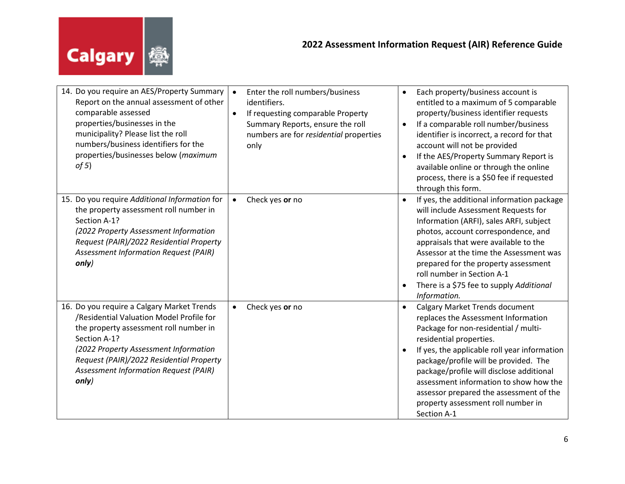

| 14. Do you require an AES/Property Summary<br>Report on the annual assessment of other<br>comparable assessed<br>properties/businesses in the<br>municipality? Please list the roll<br>numbers/business identifiers for the<br>properties/businesses below (maximum<br>of 5)            | Enter the roll numbers/business<br>$\bullet$<br>identifiers.<br>If requesting comparable Property<br>$\bullet$<br>Summary Reports, ensure the roll<br>numbers are for residential properties<br>only | Each property/business account is<br>$\bullet$<br>entitled to a maximum of 5 comparable<br>property/business identifier requests<br>If a comparable roll number/business<br>$\bullet$<br>identifier is incorrect, a record for that<br>account will not be provided<br>If the AES/Property Summary Report is<br>available online or through the online<br>process, there is a \$50 fee if requested<br>through this form.                                |
|-----------------------------------------------------------------------------------------------------------------------------------------------------------------------------------------------------------------------------------------------------------------------------------------|------------------------------------------------------------------------------------------------------------------------------------------------------------------------------------------------------|----------------------------------------------------------------------------------------------------------------------------------------------------------------------------------------------------------------------------------------------------------------------------------------------------------------------------------------------------------------------------------------------------------------------------------------------------------|
| 15. Do you require Additional Information for<br>the property assessment roll number in<br>Section A-1?<br>(2022 Property Assessment Information<br>Request (PAIR)/2022 Residential Property<br><b>Assessment Information Request (PAIR)</b><br>only)                                   | Check yes or no<br>$\bullet$                                                                                                                                                                         | If yes, the additional information package<br>$\bullet$<br>will include Assessment Requests for<br>Information (ARFI), sales ARFI, subject<br>photos, account correspondence, and<br>appraisals that were available to the<br>Assessor at the time the Assessment was<br>prepared for the property assessment<br>roll number in Section A-1<br>There is a \$75 fee to supply Additional<br>Information.                                                  |
| 16. Do you require a Calgary Market Trends<br>/Residential Valuation Model Profile for<br>the property assessment roll number in<br>Section A-1?<br>(2022 Property Assessment Information<br>Request (PAIR)/2022 Residential Property<br>Assessment Information Request (PAIR)<br>only) | Check yes or no<br>$\bullet$                                                                                                                                                                         | <b>Calgary Market Trends document</b><br>$\bullet$<br>replaces the Assessment Information<br>Package for non-residential / multi-<br>residential properties.<br>If yes, the applicable roll year information<br>$\bullet$<br>package/profile will be provided. The<br>package/profile will disclose additional<br>assessment information to show how the<br>assessor prepared the assessment of the<br>property assessment roll number in<br>Section A-1 |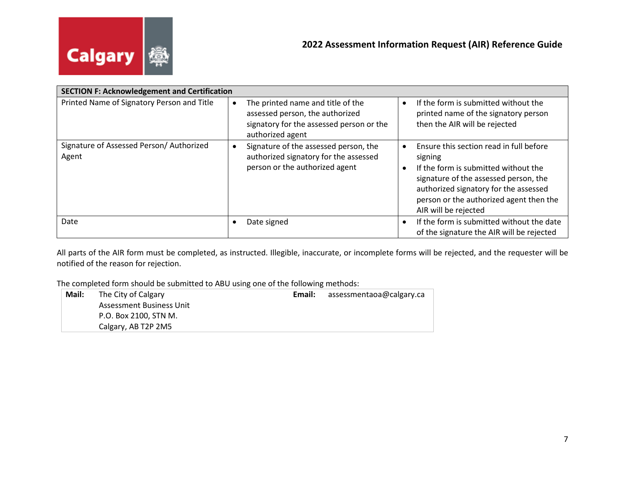

| <b>SECTION F: Acknowledgement and Certification</b> |                                                                                                                                      |                                                                                                                                                                                                                                                 |  |  |
|-----------------------------------------------------|--------------------------------------------------------------------------------------------------------------------------------------|-------------------------------------------------------------------------------------------------------------------------------------------------------------------------------------------------------------------------------------------------|--|--|
| Printed Name of Signatory Person and Title          | The printed name and title of the<br>assessed person, the authorized<br>signatory for the assessed person or the<br>authorized agent | If the form is submitted without the<br>printed name of the signatory person<br>then the AIR will be rejected                                                                                                                                   |  |  |
| Signature of Assessed Person/ Authorized<br>Agent   | Signature of the assessed person, the<br>authorized signatory for the assessed<br>person or the authorized agent                     | Ensure this section read in full before<br>signing<br>If the form is submitted without the<br>signature of the assessed person, the<br>authorized signatory for the assessed<br>person or the authorized agent then the<br>AIR will be rejected |  |  |
| Date                                                | Date signed                                                                                                                          | If the form is submitted without the date<br>of the signature the AIR will be rejected                                                                                                                                                          |  |  |

All parts of the AIR form must be completed, as instructed. Illegible, inaccurate, or incomplete forms will be rejected, and the requester will be notified of the reason for rejection.

The completed form should be submitted to ABU using one of the following methods:

| Mail: | The City of Calgary      | Email: | assessmentaoa@calgary.ca |
|-------|--------------------------|--------|--------------------------|
|       | Assessment Business Unit |        |                          |
|       | P.O. Box 2100, STN M.    |        |                          |
|       | Calgary, AB T2P 2M5      |        |                          |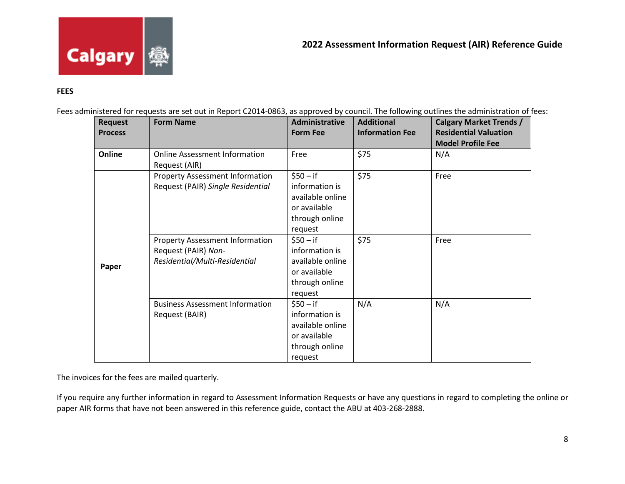

# **FEES**

Fees administered for requests are set out in Report C2014-0863, as approved by council. The following outlines the administration of fees:

| <b>Request</b><br><b>Process</b> | <b>Form Name</b>                       | <b>Administrative</b><br><b>Form Fee</b> | <b>Additional</b><br><b>Information Fee</b> | <b>Calgary Market Trends /</b><br><b>Residential Valuation</b> |
|----------------------------------|----------------------------------------|------------------------------------------|---------------------------------------------|----------------------------------------------------------------|
|                                  |                                        |                                          |                                             | <b>Model Profile Fee</b>                                       |
| Online                           | <b>Online Assessment Information</b>   | Free                                     | \$75                                        | N/A                                                            |
|                                  | Request (AIR)                          |                                          |                                             |                                                                |
|                                  | <b>Property Assessment Information</b> | $$50 - if$                               | \$75                                        | Free                                                           |
|                                  | Request (PAIR) Single Residential      | information is                           |                                             |                                                                |
|                                  |                                        | available online                         |                                             |                                                                |
|                                  |                                        | or available                             |                                             |                                                                |
|                                  |                                        | through online                           |                                             |                                                                |
|                                  |                                        | request                                  |                                             |                                                                |
|                                  | <b>Property Assessment Information</b> | $$50 - if$                               | \$75                                        | Free                                                           |
|                                  | Request (PAIR) Non-                    | information is                           |                                             |                                                                |
|                                  | Residential/Multi-Residential          | available online                         |                                             |                                                                |
| Paper                            |                                        | or available                             |                                             |                                                                |
|                                  |                                        | through online                           |                                             |                                                                |
|                                  |                                        | request                                  |                                             |                                                                |
|                                  | <b>Business Assessment Information</b> | \$50 – if                                | N/A                                         | N/A                                                            |
|                                  | Request (BAIR)                         | information is                           |                                             |                                                                |
|                                  |                                        | available online                         |                                             |                                                                |
|                                  |                                        | or available                             |                                             |                                                                |
|                                  |                                        | through online                           |                                             |                                                                |
|                                  |                                        | request                                  |                                             |                                                                |

The invoices for the fees are mailed quarterly.

If you require any further information in regard to Assessment Information Requests or have any questions in regard to completing the online or paper AIR forms that have not been answered in this reference guide, contact the ABU at 403-268-2888.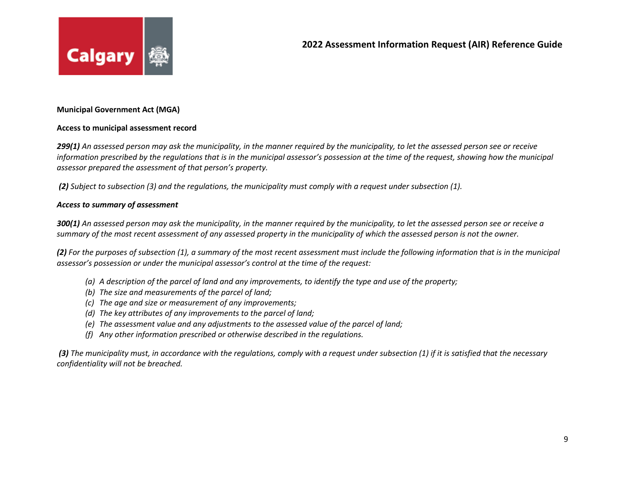

# **Municipal Government Act (MGA)**

### **Access to municipal assessment record**

*299(1) An assessed person may ask the municipality, in the manner required by the municipality, to let the assessed person see or receive information prescribed by the regulations that is in the municipal assessor's possession at the time of the request, showing how the municipal assessor prepared the assessment of that person's property.*

*(2) Subject to subsection (3) and the regulations, the municipality must comply with a request under subsection (1).*

#### *Access to summary of assessment*

*300(1) An assessed person may ask the municipality, in the manner required by the municipality, to let the assessed person see or receive a summary of the most recent assessment of any assessed property in the municipality of which the assessed person is not the owner.*

*(2) For the purposes of subsection (1), a summary of the most recent assessment must include the following information that is in the municipal assessor's possession or under the municipal assessor's control at the time of the request:*

- *(a) A description of the parcel of land and any improvements, to identify the type and use of the property;*
- *(b) The size and measurements of the parcel of land;*
- *(c) The age and size or measurement of any improvements;*
- *(d) The key attributes of any improvements to the parcel of land;*
- *(e) The assessment value and any adjustments to the assessed value of the parcel of land;*
- *(f) Any other information prescribed or otherwise described in the regulations.*

*(3) The municipality must, in accordance with the regulations, comply with a request under subsection (1) if it is satisfied that the necessary confidentiality will not be breached.*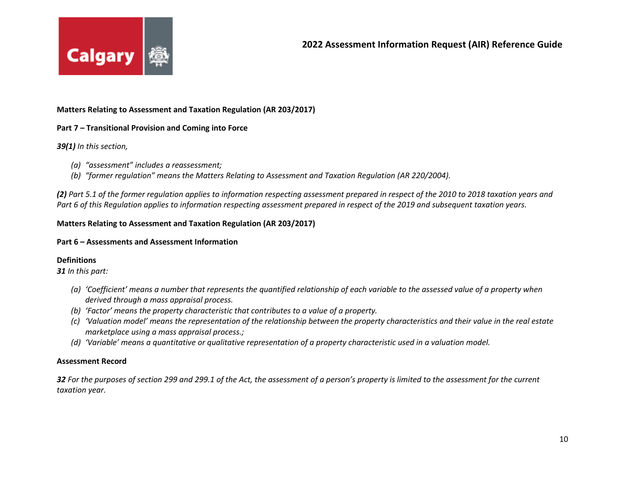

### **Matters Relating to Assessment and Taxation Regulation (AR 203/2017)**

### **Part 7 – Transitional Provision and Coming into Force**

#### *39(1) In this section,*

- *(a) "assessment" includes a reassessment;*
- *(b) "former regulation" means the Matters Relating to Assessment and Taxation Regulation (AR 220/2004).*

*(2) Part 5.1 of the former regulation applies to information respecting assessment prepared in respect of the 2010 to 2018 taxation years and Part 6 of this Regulation applies to information respecting assessment prepared in respect of the 2019 and subsequent taxation years.*

### **Matters Relating to Assessment and Taxation Regulation (AR 203/2017)**

### **Part 6 – Assessments and Assessment Information**

### **Definitions**

*31 In this part:*

- *(a) 'Coefficient' means a number that represents the quantified relationship of each variable to the assessed value of a property when derived through a mass appraisal process.*
- *(b) 'Factor' means the property characteristic that contributes to a value of a property.*
- *(c) 'Valuation model' means the representation of the relationship between the property characteristics and their value in the real estate marketplace using a mass appraisal process.;*
- *(d) 'Variable' means a quantitative or qualitative representation of a property characteristic used in a valuation model.*

### **Assessment Record**

*32 For the purposes of section 299 and 299.1 of the Act, the assessment of a person's property is limited to the assessment for the current taxation year.*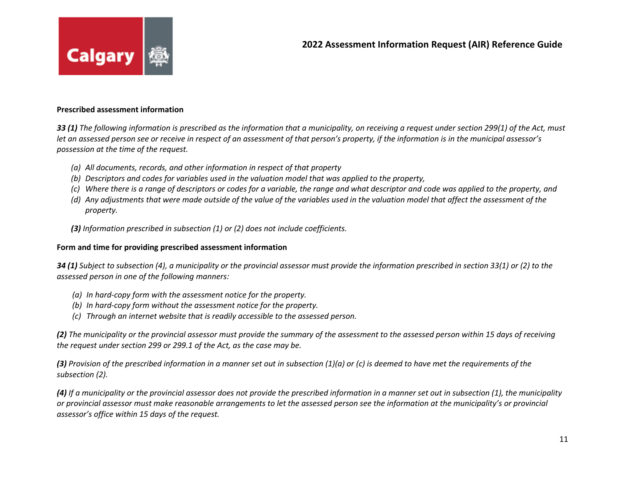

#### **Prescribed assessment information**

*33 (1) The following information is prescribed as the information that a municipality, on receiving a request under section 299(1) of the Act, must let an assessed person see or receive in respect of an assessment of that person's property, if the information is in the municipal assessor's possession at the time of the request.*

- *(a) All documents, records, and other information in respect of that property*
- *(b) Descriptors and codes for variables used in the valuation model that was applied to the property,*
- *(c) Where there is a range of descriptors or codes for a variable, the range and what descriptor and code was applied to the property, and*
- *(d) Any adjustments that were made outside of the value of the variables used in the valuation model that affect the assessment of the property.*
- *(3) Information prescribed in subsection (1) or (2) does not include coefficients.*

# **Form and time for providing prescribed assessment information**

*34 (1) Subject to subsection (4), a municipality or the provincial assessor must provide the information prescribed in section 33(1) or (2) to the assessed person in one of the following manners:*

- *(a) In hard-copy form with the assessment notice for the property.*
- *(b) In hard-copy form without the assessment notice for the property.*
- *(c) Through an internet website that is readily accessible to the assessed person.*

*(2) The municipality or the provincial assessor must provide the summary of the assessment to the assessed person within 15 days of receiving the request under section 299 or 299.1 of the Act, as the case may be.*

*(3) Provision of the prescribed information in a manner set out in subsection (1)(a) or (c) is deemed to have met the requirements of the subsection (2).*

*(4) If a municipality or the provincial assessor does not provide the prescribed information in a manner set out in subsection (1), the municipality or provincial assessor must make reasonable arrangements to let the assessed person see the information at the municipality's or provincial assessor's office within 15 days of the request.*